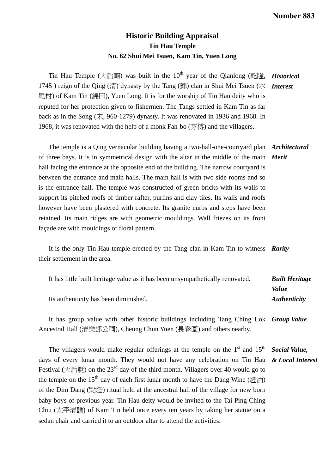## **Historic Building Appraisal Tin Hau Temple No. 62 Shui Mei Tsuen, Kam Tin, Yuen Long**

Tin Hau Temple (天后廟) was built in the 10<sup>th</sup> year of the Qianlong (乾隆, *Historical* 1745 ) reign of the Qing (清) dynasty by the Tang (鄧) clan in Shui Mei Tsuen (水 *Interest*  尾村) of Kam Tin (錦田), Yuen Long. It is for the worship of Tin Hau deity who is reputed for her protection given to fishermen. The Tangs settled in Kam Tin as far back as in the Song (宋, 960-1279) dynasty. It was renovated in 1936 and 1968. In 1968, it was renovated with the help of a monk Fan-bo  $($ 芬博) and the villagers.

 The temple is a Qing vernacular building having a two-hall-one-courtyard plan *Architectural*  of three bays. It is in symmetrical design with the altar in the middle of the main *Merit*  hall facing the entrance at the opposite end of the building. The narrow courtyard is between the entrance and main halls. The main hall is with two side rooms and so is the entrance hall. The temple was constructed of green bricks with its walls to support its pitched roofs of timber rafter, purlins and clay tiles. Its walls and roofs however have been plastered with concrete. Its granite curbs and steps have been retained. Its main ridges are with geometric mouldings. Wall friezes on its front façade are with mouldings of floral pattern.

 It is the only Tin Hau temple erected by the Tang clan in Kam Tin to witness *Rarity*  their settlement in the area.

| It has little built heritage value as it has been unsympathetically renovated. | <b>Built Heritage</b>      |
|--------------------------------------------------------------------------------|----------------------------|
|                                                                                | Value                      |
| Its authenticity has been diminished.                                          | <i><b>Authenticity</b></i> |
|                                                                                |                            |

It has group value with other historic buildings including Tang Ching Lok *Group Value*  Ancestral Hall (清樂鄧公祠), Cheung Chun Yuen (長春園) and others nearby.

The villagers would make regular offerings at the temple on the  $1<sup>st</sup>$  and  $15<sup>th</sup>$ days of every lunar month. They would not have any celebration on Tin Hau *& Local Interest*  Festival (天后誕) on the  $23<sup>rd</sup>$  day of the third month. Villagers over 40 would go to the temple on the 15<sup>th</sup> day of each first lunar month to have the Dang Wine (燈酒) of the Dim Dang (點燈) ritual held at the ancestral hall of the village for new born baby boys of previous year. Tin Hau deity would be invited to the Tai Ping Ching Chiu (太平清醮) of Kam Tin held once every ten years by taking her statue on a sedan chair and carried it to an outdoor altar to attend the activities. *Social Value,*